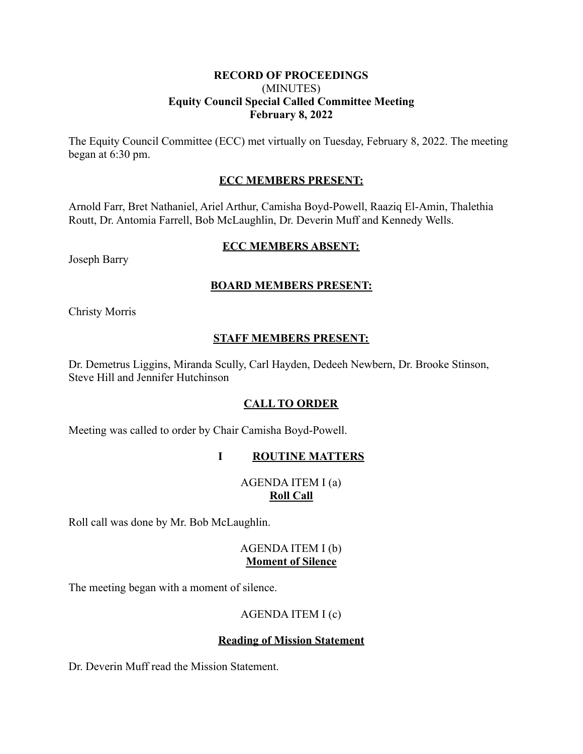#### **RECORD OF PROCEEDINGS** (MINUTES) **Equity Council Special Called Committee Meeting February 8, 2022**

The Equity Council Committee (ECC) met virtually on Tuesday, February 8, 2022. The meeting began at 6:30 pm.

# **ECC MEMBERS PRESENT:**

Arnold Farr, Bret Nathaniel, Ariel Arthur, Camisha Boyd-Powell, Raaziq El-Amin, Thalethia Routt, Dr. Antomia Farrell, Bob McLaughlin, Dr. Deverin Muff and Kennedy Wells.

#### **ECC MEMBERS ABSENT:**

Joseph Barry

### **BOARD MEMBERS PRESENT:**

Christy Morris

### **STAFF MEMBERS PRESENT:**

Dr. Demetrus Liggins, Miranda Scully, Carl Hayden, Dedeeh Newbern, Dr. Brooke Stinson, Steve Hill and Jennifer Hutchinson

# **CALL TO ORDER**

Meeting was called to order by Chair Camisha Boyd-Powell.

# **I ROUTINE MATTERS**

# AGENDA ITEM I (a) **Roll Call**

Roll call was done by Mr. Bob McLaughlin.

### AGENDA ITEM I (b) **Moment of Silence**

The meeting began with a moment of silence.

# AGENDA ITEM I (c)

#### **Reading of Mission Statement**

Dr. Deverin Muff read the Mission Statement.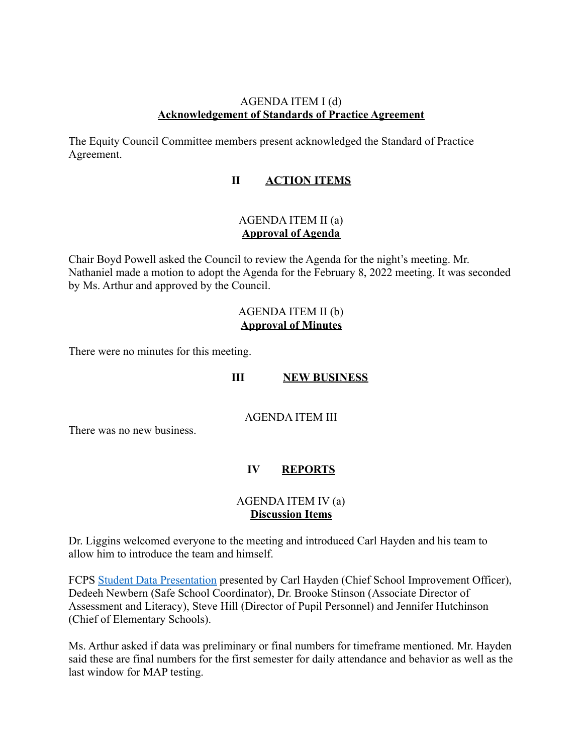#### AGENDA ITEM I (d) **Acknowledgement of Standards of Practice Agreement**

The Equity Council Committee members present acknowledged the Standard of Practice Agreement.

# **II ACTION ITEMS**

# AGENDA ITEM II (a) **Approval of Agenda**

Chair Boyd Powell asked the Council to review the Agenda for the night's meeting. Mr. Nathaniel made a motion to adopt the Agenda for the February 8, 2022 meeting. It was seconded by Ms. Arthur and approved by the Council.

### AGENDA ITEM II (b) **Approval of Minutes**

There were no minutes for this meeting.

# **III NEW BUSINESS**

AGENDA ITEM III

There was no new business.

# **IV REPORTS**

#### AGENDA ITEM IV (a) **Discussion Items**

Dr. Liggins welcomed everyone to the meeting and introduced Carl Hayden and his team to allow him to introduce the team and himself.

FCPS [Student Data Presentation](https://files.constantcontact.com/f47f42c3501/cec88508-2a27-4a97-8d71-99fa05e3ad8b.pdf) presented by Carl Hayden (Chief School Improvement Officer), Dedeeh Newbern (Safe School Coordinator), Dr. Brooke Stinson (Associate Director of Assessment and Literacy), Steve Hill (Director of Pupil Personnel) and Jennifer Hutchinson (Chief of Elementary Schools).

Ms. Arthur asked if data was preliminary or final numbers for timeframe mentioned. Mr. Hayden said these are final numbers for the first semester for daily attendance and behavior as well as the last window for MAP testing.